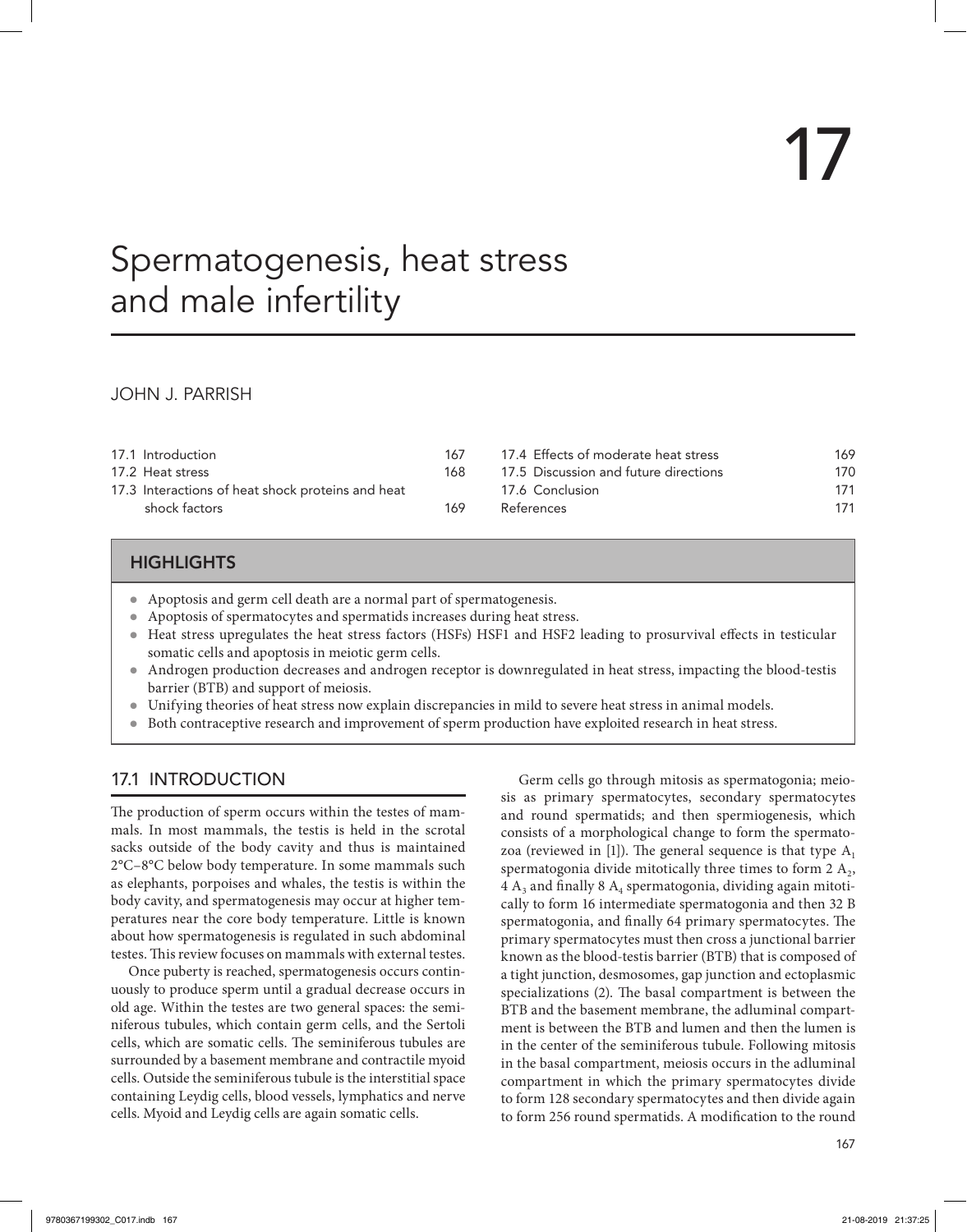# Spermatogenesis, heat stress and male infertility

### JOHN J. PARRISH

| 17.1 Introduction                                 |  | 167 | 17.4 Effects of moderate heat stress  | 169 |
|---------------------------------------------------|--|-----|---------------------------------------|-----|
| 17.2 Heat stress                                  |  | 168 | 17.5 Discussion and future directions | 170 |
| 17.3 Interactions of heat shock proteins and heat |  |     | 17.6 Conclusion                       | 171 |
| shock factors                                     |  | 169 | References                            | 171 |
|                                                   |  |     |                                       |     |

### **HIGHLIGHTS**

- Apoptosis and germ cell death are a normal part of spermatogenesis.
- Apoptosis of spermatocytes and spermatids increases during heat stress.
- ●● Heat stress upregulates the heat stress factors (HSFs) HSF1 and HSF2 leading to prosurvival effects in testicular somatic cells and apoptosis in meiotic germ cells.
- Androgen production decreases and androgen receptor is downregulated in heat stress, impacting the blood-testis barrier (BTB) and support of meiosis.
- Unifying theories of heat stress now explain discrepancies in mild to severe heat stress in animal models.
- ●● Both contraceptive research and improvement of sperm production have exploited research in heat stress.

### 17.1 INTRODUCTION

The production of sperm occurs within the testes of mammals. In most mammals, the testis is held in the scrotal sacks outside of the body cavity and thus is maintained 2°C–8°C below body temperature. In some mammals such as elephants, porpoises and whales, the testis is within the body cavity, and spermatogenesis may occur at higher temperatures near the core body temperature. Little is known about how spermatogenesis is regulated in such abdominal testes. This review focuses on mammals with external testes.

Once puberty is reached, spermatogenesis occurs continuously to produce sperm until a gradual decrease occurs in old age. Within the testes are two general spaces: the seminiferous tubules, which contain germ cells, and the Sertoli cells, which are somatic cells. The seminiferous tubules are surrounded by a basement membrane and contractile myoid cells. Outside the seminiferous tubule is the interstitial space containing Leydig cells, blood vessels, lymphatics and nerve cells. Myoid and Leydig cells are again somatic cells.

Germ cells go through mitosis as spermatogonia; meiosis as primary spermatocytes, secondary spermatocytes and round spermatids; and then spermiogenesis, which consists of a morphological change to form the spermatozoa (reviewed in [1]). The general sequence is that type  $A_1$ spermatogonia divide mitotically three times to form  $2 \text{ A}_{2}$ ,  $4 A_3$  and finally 8  $A_4$  spermatogonia, dividing again mitotically to form 16 intermediate spermatogonia and then 32 B spermatogonia, and finally 64 primary spermatocytes. The primary spermatocytes must then cross a junctional barrier known as the blood-testis barrier (BTB) that is composed of a tight junction, desmosomes, gap junction and ectoplasmic specializations (2). The basal compartment is between the BTB and the basement membrane, the adluminal compartment is between the BTB and lumen and then the lumen is in the center of the seminiferous tubule. Following mitosis in the basal compartment, meiosis occurs in the adluminal compartment in which the primary spermatocytes divide to form 128 secondary spermatocytes and then divide again to form 256 round spermatids. A modification to the round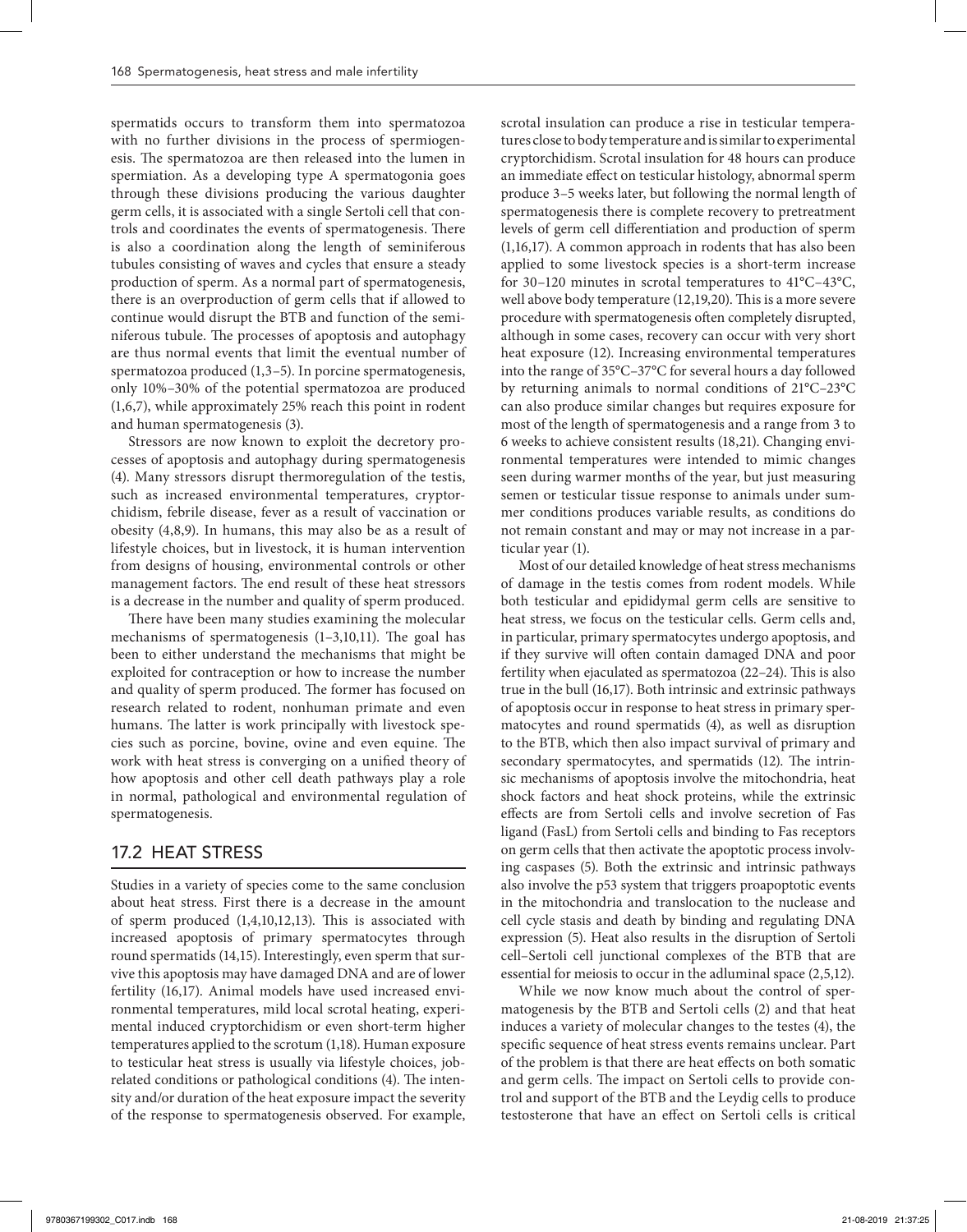spermatids occurs to transform them into spermatozoa with no further divisions in the process of spermiogenesis. The spermatozoa are then released into the lumen in spermiation. As a developing type A spermatogonia goes through these divisions producing the various daughter germ cells, it is associated with a single Sertoli cell that controls and coordinates the events of spermatogenesis. There is also a coordination along the length of seminiferous tubules consisting of waves and cycles that ensure a steady production of sperm. As a normal part of spermatogenesis, there is an overproduction of germ cells that if allowed to continue would disrupt the BTB and function of the seminiferous tubule. The processes of apoptosis and autophagy are thus normal events that limit the eventual number of spermatozoa produced (1,3–5). In porcine spermatogenesis, only 10%–30% of the potential spermatozoa are produced (1,6,7), while approximately 25% reach this point in rodent and human spermatogenesis (3).

Stressors are now known to exploit the decretory processes of apoptosis and autophagy during spermatogenesis (4). Many stressors disrupt thermoregulation of the testis, such as increased environmental temperatures, cryptorchidism, febrile disease, fever as a result of vaccination or obesity (4,8,9). In humans, this may also be as a result of lifestyle choices, but in livestock, it is human intervention from designs of housing, environmental controls or other management factors. The end result of these heat stressors is a decrease in the number and quality of sperm produced.

There have been many studies examining the molecular mechanisms of spermatogenesis (1–3,10,11). The goal has been to either understand the mechanisms that might be exploited for contraception or how to increase the number and quality of sperm produced. The former has focused on research related to rodent, nonhuman primate and even humans. The latter is work principally with livestock species such as porcine, bovine, ovine and even equine. The work with heat stress is converging on a unified theory of how apoptosis and other cell death pathways play a role in normal, pathological and environmental regulation of spermatogenesis.

### 17.2 HEAT STRESS

Studies in a variety of species come to the same conclusion about heat stress. First there is a decrease in the amount of sperm produced (1,4,10,12,13). This is associated with increased apoptosis of primary spermatocytes through round spermatids (14,15). Interestingly, even sperm that survive this apoptosis may have damaged DNA and are of lower fertility (16,17). Animal models have used increased environmental temperatures, mild local scrotal heating, experimental induced cryptorchidism or even short-term higher temperatures applied to the scrotum (1,18). Human exposure to testicular heat stress is usually via lifestyle choices, jobrelated conditions or pathological conditions (4). The intensity and/or duration of the heat exposure impact the severity of the response to spermatogenesis observed. For example,

scrotal insulation can produce a rise in testicular temperatures close to body temperature and is similar to experimental cryptorchidism. Scrotal insulation for 48 hours can produce an immediate effect on testicular histology, abnormal sperm produce 3–5 weeks later, but following the normal length of spermatogenesis there is complete recovery to pretreatment levels of germ cell differentiation and production of sperm (1,16,17). A common approach in rodents that has also been applied to some livestock species is a short-term increase for 30–120 minutes in scrotal temperatures to 41°C–43°C, well above body temperature (12,19,20). This is a more severe procedure with spermatogenesis often completely disrupted, although in some cases, recovery can occur with very short heat exposure (12). Increasing environmental temperatures into the range of 35°C–37°C for several hours a day followed by returning animals to normal conditions of 21°C–23°C can also produce similar changes but requires exposure for most of the length of spermatogenesis and a range from 3 to 6 weeks to achieve consistent results (18,21). Changing environmental temperatures were intended to mimic changes seen during warmer months of the year, but just measuring semen or testicular tissue response to animals under summer conditions produces variable results, as conditions do not remain constant and may or may not increase in a particular year (1).

Most of our detailed knowledge of heat stress mechanisms of damage in the testis comes from rodent models. While both testicular and epididymal germ cells are sensitive to heat stress, we focus on the testicular cells. Germ cells and, in particular, primary spermatocytes undergo apoptosis, and if they survive will often contain damaged DNA and poor fertility when ejaculated as spermatozoa (22–24). This is also true in the bull (16,17). Both intrinsic and extrinsic pathways of apoptosis occur in response to heat stress in primary spermatocytes and round spermatids (4), as well as disruption to the BTB, which then also impact survival of primary and secondary spermatocytes, and spermatids (12). The intrinsic mechanisms of apoptosis involve the mitochondria, heat shock factors and heat shock proteins, while the extrinsic effects are from Sertoli cells and involve secretion of Fas ligand (FasL) from Sertoli cells and binding to Fas receptors on germ cells that then activate the apoptotic process involving caspases (5). Both the extrinsic and intrinsic pathways also involve the p53 system that triggers proapoptotic events in the mitochondria and translocation to the nuclease and cell cycle stasis and death by binding and regulating DNA expression (5). Heat also results in the disruption of Sertoli cell–Sertoli cell junctional complexes of the BTB that are essential for meiosis to occur in the adluminal space (2,5,12).

While we now know much about the control of spermatogenesis by the BTB and Sertoli cells (2) and that heat induces a variety of molecular changes to the testes (4), the specific sequence of heat stress events remains unclear. Part of the problem is that there are heat effects on both somatic and germ cells. The impact on Sertoli cells to provide control and support of the BTB and the Leydig cells to produce testosterone that have an effect on Sertoli cells is critical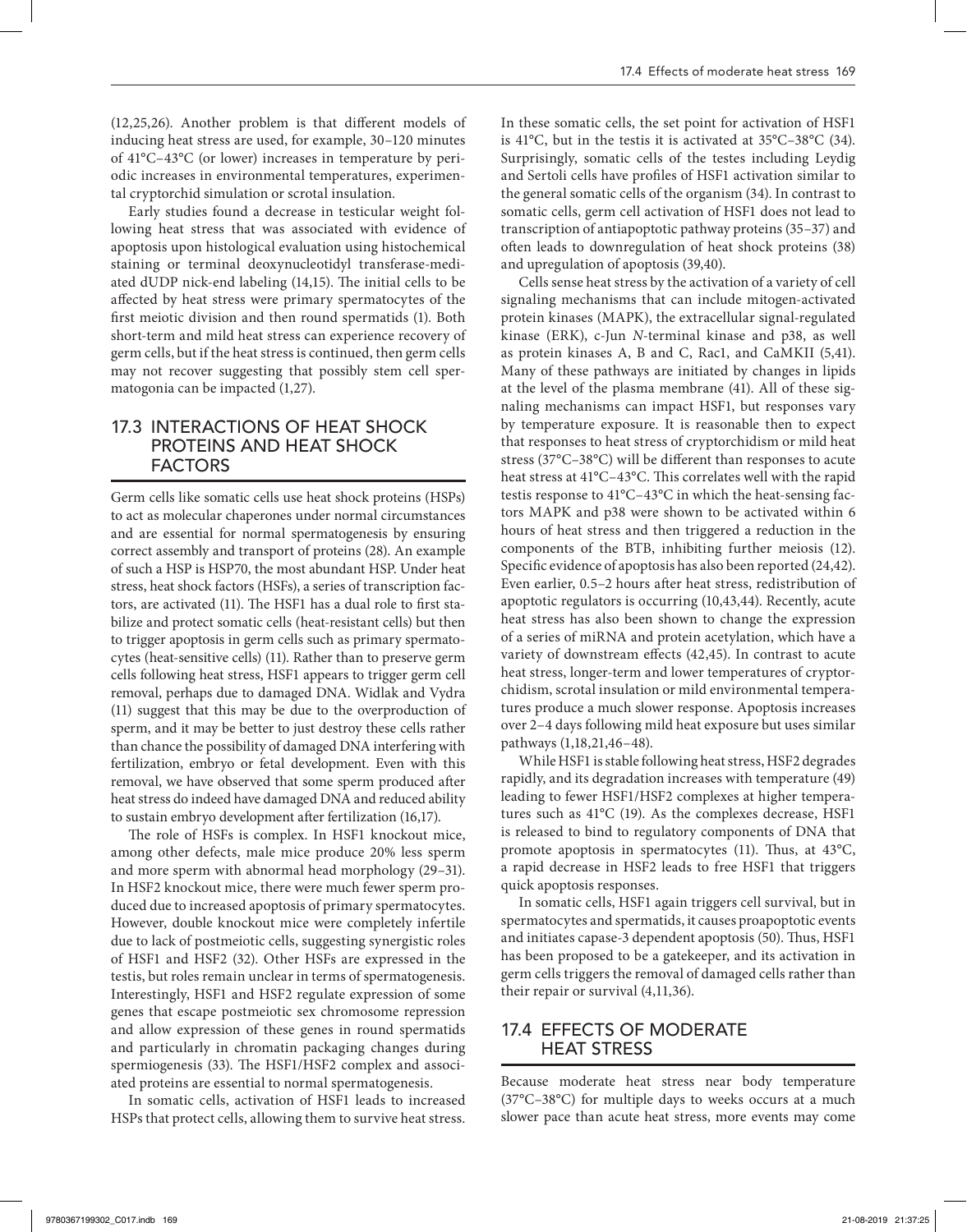(12,25,26). Another problem is that different models of inducing heat stress are used, for example, 30–120 minutes of 41°C–43°C (or lower) increases in temperature by periodic increases in environmental temperatures, experimental cryptorchid simulation or scrotal insulation.

Early studies found a decrease in testicular weight following heat stress that was associated with evidence of apoptosis upon histological evaluation using histochemical staining or terminal deoxynucleotidyl transferase-mediated dUDP nick-end labeling (14,15). The initial cells to be affected by heat stress were primary spermatocytes of the first meiotic division and then round spermatids (1). Both short-term and mild heat stress can experience recovery of germ cells, but if the heat stress is continued, then germ cells may not recover suggesting that possibly stem cell spermatogonia can be impacted (1,27).

#### 17.3 INTERACTIONS OF HEAT SHOCK PROTEINS AND HEAT SHOCK FACTORS

Germ cells like somatic cells use heat shock proteins (HSPs) to act as molecular chaperones under normal circumstances and are essential for normal spermatogenesis by ensuring correct assembly and transport of proteins (28). An example of such a HSP is HSP70, the most abundant HSP. Under heat stress, heat shock factors (HSFs), a series of transcription factors, are activated (11). The HSF1 has a dual role to first stabilize and protect somatic cells (heat-resistant cells) but then to trigger apoptosis in germ cells such as primary spermatocytes (heat-sensitive cells) (11). Rather than to preserve germ cells following heat stress, HSF1 appears to trigger germ cell removal, perhaps due to damaged DNA. Widlak and Vydra (11) suggest that this may be due to the overproduction of sperm, and it may be better to just destroy these cells rather than chance the possibility of damaged DNA interfering with fertilization, embryo or fetal development. Even with this removal, we have observed that some sperm produced after heat stress do indeed have damaged DNA and reduced ability to sustain embryo development after fertilization (16,17).

The role of HSFs is complex. In HSF1 knockout mice, among other defects, male mice produce 20% less sperm and more sperm with abnormal head morphology (29–31). In HSF2 knockout mice, there were much fewer sperm produced due to increased apoptosis of primary spermatocytes. However, double knockout mice were completely infertile due to lack of postmeiotic cells, suggesting synergistic roles of HSF1 and HSF2 (32). Other HSFs are expressed in the testis, but roles remain unclear in terms of spermatogenesis. Interestingly, HSF1 and HSF2 regulate expression of some genes that escape postmeiotic sex chromosome repression and allow expression of these genes in round spermatids and particularly in chromatin packaging changes during spermiogenesis (33). The HSF1/HSF2 complex and associated proteins are essential to normal spermatogenesis.

In somatic cells, activation of HSF1 leads to increased HSPs that protect cells, allowing them to survive heat stress.

In these somatic cells, the set point for activation of HSF1 is 41°C, but in the testis it is activated at 35°C–38°C (34). Surprisingly, somatic cells of the testes including Leydig and Sertoli cells have profiles of HSF1 activation similar to the general somatic cells of the organism (34). In contrast to somatic cells, germ cell activation of HSF1 does not lead to transcription of antiapoptotic pathway proteins (35–37) and often leads to downregulation of heat shock proteins (38) and upregulation of apoptosis (39,40).

Cells sense heat stress by the activation of a variety of cell signaling mechanisms that can include mitogen-activated protein kinases (MAPK), the extracellular signal-regulated kinase (ERK), c-Jun *N*-terminal kinase and p38, as well as protein kinases A, B and C, Rac1, and CaMKII (5,41). Many of these pathways are initiated by changes in lipids at the level of the plasma membrane (41). All of these signaling mechanisms can impact HSF1, but responses vary by temperature exposure. It is reasonable then to expect that responses to heat stress of cryptorchidism or mild heat stress (37°C–38°C) will be different than responses to acute heat stress at 41°C–43°C. This correlates well with the rapid testis response to 41°C–43°C in which the heat-sensing factors MAPK and p38 were shown to be activated within 6 hours of heat stress and then triggered a reduction in the components of the BTB, inhibiting further meiosis (12). Specific evidence of apoptosis has also been reported (24,42). Even earlier, 0.5–2 hours after heat stress, redistribution of apoptotic regulators is occurring (10,43,44). Recently, acute heat stress has also been shown to change the expression of a series of miRNA and protein acetylation, which have a variety of downstream effects (42,45). In contrast to acute heat stress, longer-term and lower temperatures of cryptorchidism, scrotal insulation or mild environmental temperatures produce a much slower response. Apoptosis increases over 2–4 days following mild heat exposure but uses similar pathways (1,18,21,46–48).

While HSF1 is stable following heat stress, HSF2 degrades rapidly, and its degradation increases with temperature (49) leading to fewer HSF1/HSF2 complexes at higher temperatures such as 41°C (19). As the complexes decrease, HSF1 is released to bind to regulatory components of DNA that promote apoptosis in spermatocytes (11). Thus, at 43°C, a rapid decrease in HSF2 leads to free HSF1 that triggers quick apoptosis responses.

In somatic cells, HSF1 again triggers cell survival, but in spermatocytes and spermatids, it causes proapoptotic events and initiates capase-3 dependent apoptosis (50). Thus, HSF1 has been proposed to be a gatekeeper, and its activation in germ cells triggers the removal of damaged cells rather than their repair or survival (4,11,36).

#### 17.4 EFFECTS OF MODERATE HEAT STRESS

Because moderate heat stress near body temperature (37°C–38°C) for multiple days to weeks occurs at a much slower pace than acute heat stress, more events may come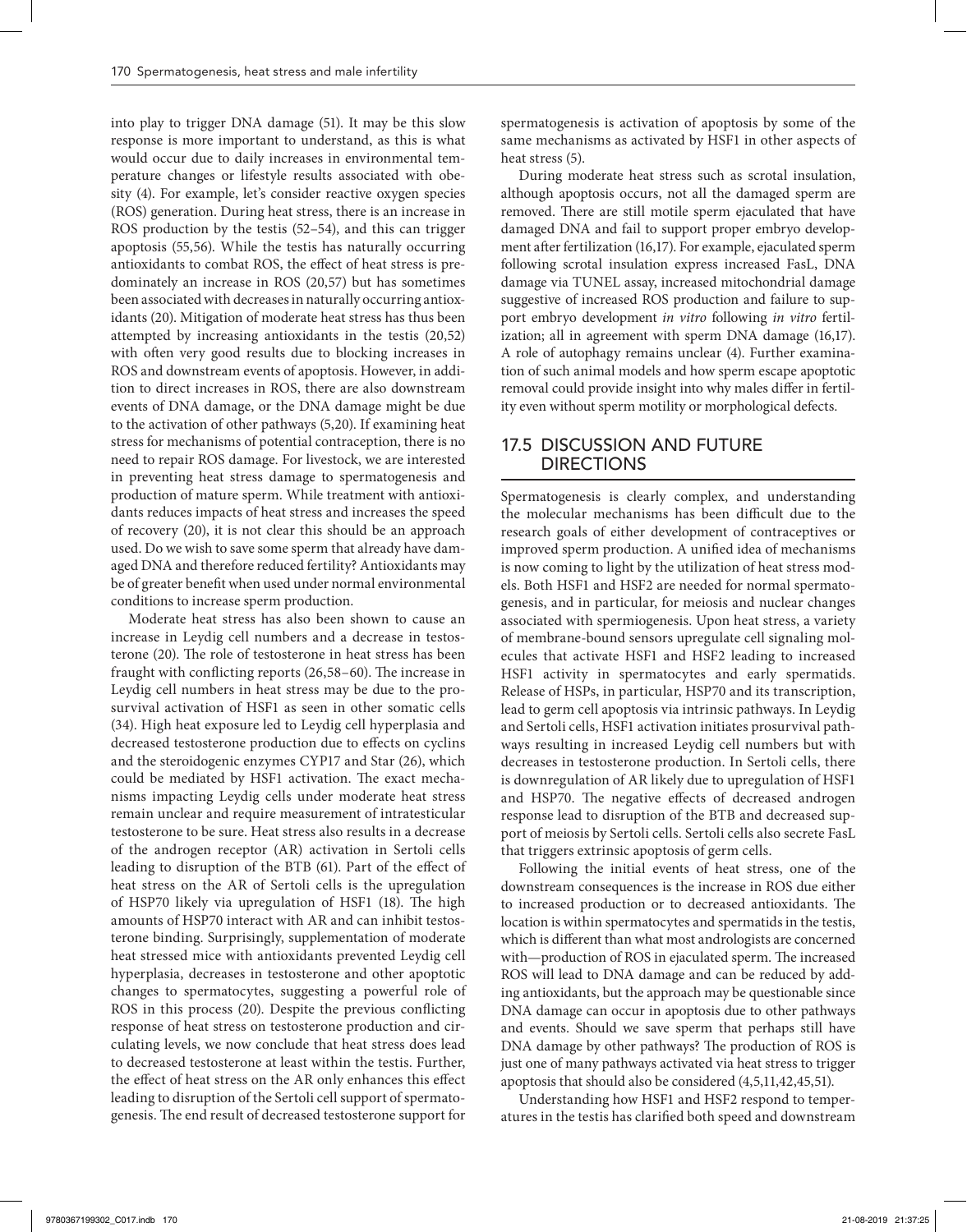into play to trigger DNA damage (51). It may be this slow response is more important to understand, as this is what would occur due to daily increases in environmental temperature changes or lifestyle results associated with obesity (4). For example, let's consider reactive oxygen species (ROS) generation. During heat stress, there is an increase in ROS production by the testis (52–54), and this can trigger apoptosis (55,56). While the testis has naturally occurring antioxidants to combat ROS, the effect of heat stress is predominately an increase in ROS (20,57) but has sometimes been associated with decreases in naturally occurring antioxidants (20). Mitigation of moderate heat stress has thus been attempted by increasing antioxidants in the testis (20,52) with often very good results due to blocking increases in ROS and downstream events of apoptosis. However, in addition to direct increases in ROS, there are also downstream events of DNA damage, or the DNA damage might be due to the activation of other pathways (5,20). If examining heat stress for mechanisms of potential contraception, there is no need to repair ROS damage. For livestock, we are interested in preventing heat stress damage to spermatogenesis and production of mature sperm. While treatment with antioxidants reduces impacts of heat stress and increases the speed of recovery (20), it is not clear this should be an approach used. Do we wish to save some sperm that already have damaged DNA and therefore reduced fertility? Antioxidants may be of greater benefit when used under normal environmental conditions to increase sperm production.

Moderate heat stress has also been shown to cause an increase in Leydig cell numbers and a decrease in testosterone (20). The role of testosterone in heat stress has been fraught with conflicting reports (26,58–60). The increase in Leydig cell numbers in heat stress may be due to the prosurvival activation of HSF1 as seen in other somatic cells (34). High heat exposure led to Leydig cell hyperplasia and decreased testosterone production due to effects on cyclins and the steroidogenic enzymes CYP17 and Star (26), which could be mediated by HSF1 activation. The exact mechanisms impacting Leydig cells under moderate heat stress remain unclear and require measurement of intratesticular testosterone to be sure. Heat stress also results in a decrease of the androgen receptor (AR) activation in Sertoli cells leading to disruption of the BTB (61). Part of the effect of heat stress on the AR of Sertoli cells is the upregulation of HSP70 likely via upregulation of HSF1 (18). The high amounts of HSP70 interact with AR and can inhibit testosterone binding. Surprisingly, supplementation of moderate heat stressed mice with antioxidants prevented Leydig cell hyperplasia, decreases in testosterone and other apoptotic changes to spermatocytes, suggesting a powerful role of ROS in this process (20). Despite the previous conflicting response of heat stress on testosterone production and circulating levels, we now conclude that heat stress does lead to decreased testosterone at least within the testis. Further, the effect of heat stress on the AR only enhances this effect leading to disruption of the Sertoli cell support of spermatogenesis. The end result of decreased testosterone support for

spermatogenesis is activation of apoptosis by some of the same mechanisms as activated by HSF1 in other aspects of heat stress (5).

During moderate heat stress such as scrotal insulation, although apoptosis occurs, not all the damaged sperm are removed. There are still motile sperm ejaculated that have damaged DNA and fail to support proper embryo development after fertilization (16,17). For example, ejaculated sperm following scrotal insulation express increased FasL, DNA damage via TUNEL assay, increased mitochondrial damage suggestive of increased ROS production and failure to support embryo development *in vitro* following *in vitro* fertilization; all in agreement with sperm DNA damage (16,17). A role of autophagy remains unclear (4). Further examination of such animal models and how sperm escape apoptotic removal could provide insight into why males differ in fertility even without sperm motility or morphological defects.

#### 17.5 DISCUSSION AND FUTURE DIRECTIONS

Spermatogenesis is clearly complex, and understanding the molecular mechanisms has been difficult due to the research goals of either development of contraceptives or improved sperm production. A unified idea of mechanisms is now coming to light by the utilization of heat stress models. Both HSF1 and HSF2 are needed for normal spermatogenesis, and in particular, for meiosis and nuclear changes associated with spermiogenesis. Upon heat stress, a variety of membrane-bound sensors upregulate cell signaling molecules that activate HSF1 and HSF2 leading to increased HSF1 activity in spermatocytes and early spermatids. Release of HSPs, in particular, HSP70 and its transcription, lead to germ cell apoptosis via intrinsic pathways. In Leydig and Sertoli cells, HSF1 activation initiates prosurvival pathways resulting in increased Leydig cell numbers but with decreases in testosterone production. In Sertoli cells, there is downregulation of AR likely due to upregulation of HSF1 and HSP70. The negative effects of decreased androgen response lead to disruption of the BTB and decreased support of meiosis by Sertoli cells. Sertoli cells also secrete FasL that triggers extrinsic apoptosis of germ cells.

Following the initial events of heat stress, one of the downstream consequences is the increase in ROS due either to increased production or to decreased antioxidants. The location is within spermatocytes and spermatids in the testis, which is different than what most andrologists are concerned with—production of ROS in ejaculated sperm. The increased ROS will lead to DNA damage and can be reduced by adding antioxidants, but the approach may be questionable since DNA damage can occur in apoptosis due to other pathways and events. Should we save sperm that perhaps still have DNA damage by other pathways? The production of ROS is just one of many pathways activated via heat stress to trigger apoptosis that should also be considered (4,5,11,42,45,51).

Understanding how HSF1 and HSF2 respond to temperatures in the testis has clarified both speed and downstream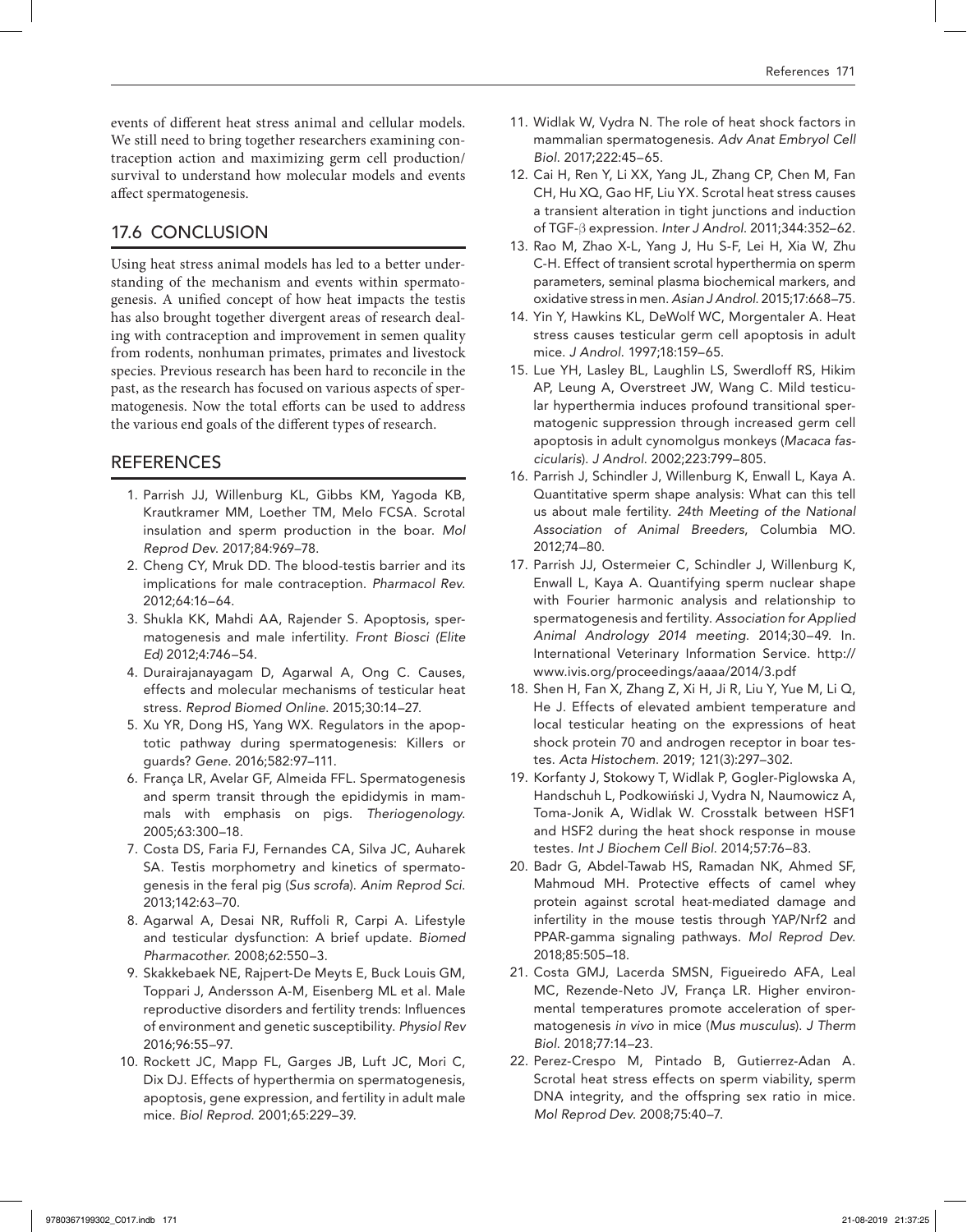events of different heat stress animal and cellular models. We still need to bring together researchers examining contraception action and maximizing germ cell production/ survival to understand how molecular models and events affect spermatogenesis.

## 17.6 CONCLUSION

Using heat stress animal models has led to a better understanding of the mechanism and events within spermatogenesis. A unified concept of how heat impacts the testis has also brought together divergent areas of research dealing with contraception and improvement in semen quality from rodents, nonhuman primates, primates and livestock species. Previous research has been hard to reconcile in the past, as the research has focused on various aspects of spermatogenesis. Now the total efforts can be used to address the various end goals of the different types of research.

#### REFERENCES

- 1. Parrish JJ, Willenburg KL, Gibbs KM, Yagoda KB, Krautkramer MM, Loether TM, Melo FCSA. Scrotal insulation and sperm production in the boar. *Mol Reprod Dev*. 2017;84:969–78.
- 2. Cheng CY, Mruk DD. The blood-testis barrier and its implications for male contraception. *Pharmacol Rev*. 2012;64:16–64.
- 3. Shukla KK, Mahdi AA, Rajender S. Apoptosis, spermatogenesis and male infertility. *Front Biosci (Elite Ed)* 2012;4:746–54.
- 4. Durairajanayagam D, Agarwal A, Ong C. Causes, effects and molecular mechanisms of testicular heat stress. *Reprod Biomed Online*. 2015;30:14–27.
- 5. Xu YR, Dong HS, Yang WX. Regulators in the apoptotic pathway during spermatogenesis: Killers or guards? *Gene*. 2016;582:97–111.
- 6. França LR, Avelar GF, Almeida FFL. Spermatogenesis and sperm transit through the epididymis in mammals with emphasis on pigs. *Theriogenology*. 2005;63:300–18.
- 7. Costa DS, Faria FJ, Fernandes CA, Silva JC, Auharek SA. Testis morphometry and kinetics of spermatogenesis in the feral pig (*Sus scrofa*). *Anim Reprod Sci*. 2013;142:63–70.
- 8. Agarwal A, Desai NR, Ruffoli R, Carpi A. Lifestyle and testicular dysfunction: A brief update. *Biomed Pharmacother*. 2008;62:550–3.
- 9. Skakkebaek NE, Rajpert-De Meyts E, Buck Louis GM, Toppari J, Andersson A-M, Eisenberg ML et al. Male reproductive disorders and fertility trends: Influences of environment and genetic susceptibility. *Physiol Rev* 2016;96:55–97.
- 10. Rockett JC, Mapp FL, Garges JB, Luft JC, Mori C, Dix DJ. Effects of hyperthermia on spermatogenesis, apoptosis, gene expression, and fertility in adult male mice. *Biol Reprod*. 2001;65:229–39.
- 11. Widlak W, Vydra N. The role of heat shock factors in mammalian spermatogenesis. *Adv Anat Embryol Cell Biol*. 2017;222:45–65.
- 12. Cai H, Ren Y, Li XX, Yang JL, Zhang CP, Chen M, Fan CH, Hu XQ, Gao HF, Liu YX. Scrotal heat stress causes a transient alteration in tight junctions and induction of TGF-β expression. *Inter J Androl*. 2011;344:352–62.
- 13. Rao M, Zhao X-L, Yang J, Hu S-F, Lei H, Xia W, Zhu C-H. Effect of transient scrotal hyperthermia on sperm parameters, seminal plasma biochemical markers, and oxidative stress in men. *Asian J Androl*. 2015;17:668–75.
- 14. Yin Y, Hawkins KL, DeWolf WC, Morgentaler A. Heat stress causes testicular germ cell apoptosis in adult mice. *J Androl*. 1997;18:159–65.
- 15. Lue YH, Lasley BL, Laughlin LS, Swerdloff RS, Hikim AP, Leung A, Overstreet JW, Wang C. Mild testicular hyperthermia induces profound transitional spermatogenic suppression through increased germ cell apoptosis in adult cynomolgus monkeys (*Macaca fascicularis*). *J Androl*. 2002;223:799–805.
- 16. Parrish J, Schindler J, Willenburg K, Enwall L, Kaya A. Quantitative sperm shape analysis: What can this tell us about male fertility. *24th Meeting of the National Association of Animal Breeders*, Columbia MO. 2012;74–80.
- 17. Parrish JJ, Ostermeier C, Schindler J, Willenburg K, Enwall L, Kaya A. Quantifying sperm nuclear shape with Fourier harmonic analysis and relationship to spermatogenesis and fertility. *Association for Applied Animal Andrology 2014 meeting*. 2014;30–49. In. International Veterinary Information Service. http:// www.ivis.org/proceedings/aaaa/2014/3.pdf
- 18. Shen H, Fan X, Zhang Z, Xi H, Ji R, Liu Y, Yue M, Li Q, He J. Effects of elevated ambient temperature and local testicular heating on the expressions of heat shock protein 70 and androgen receptor in boar testes. *Acta Histochem*. 2019; 121(3):297–302.
- 19. Korfanty J, Stokowy T, Widlak P, Gogler-Piglowska A, Handschuh L, Podkowiński J, Vydra N, Naumowicz A, Toma-Jonik A, Widlak W. Crosstalk between HSF1 and HSF2 during the heat shock response in mouse testes. *Int J Biochem Cell Biol*. 2014;57:76–83.
- 20. Badr G, Abdel-Tawab HS, Ramadan NK, Ahmed SF, Mahmoud MH. Protective effects of camel whey protein against scrotal heat-mediated damage and infertility in the mouse testis through YAP/Nrf2 and PPAR-gamma signaling pathways. *Mol Reprod Dev*. 2018;85:505–18.
- 21. Costa GMJ, Lacerda SMSN, Figueiredo AFA, Leal MC, Rezende-Neto JV, França LR. Higher environmental temperatures promote acceleration of spermatogenesis *in vivo* in mice (*Mus musculus*). *J Therm Biol*. 2018;77:14–23.
- 22. Perez-Crespo M, Pintado B, Gutierrez-Adan A. Scrotal heat stress effects on sperm viability, sperm DNA integrity, and the offspring sex ratio in mice. *Mol Reprod Dev*. 2008;75:40–7.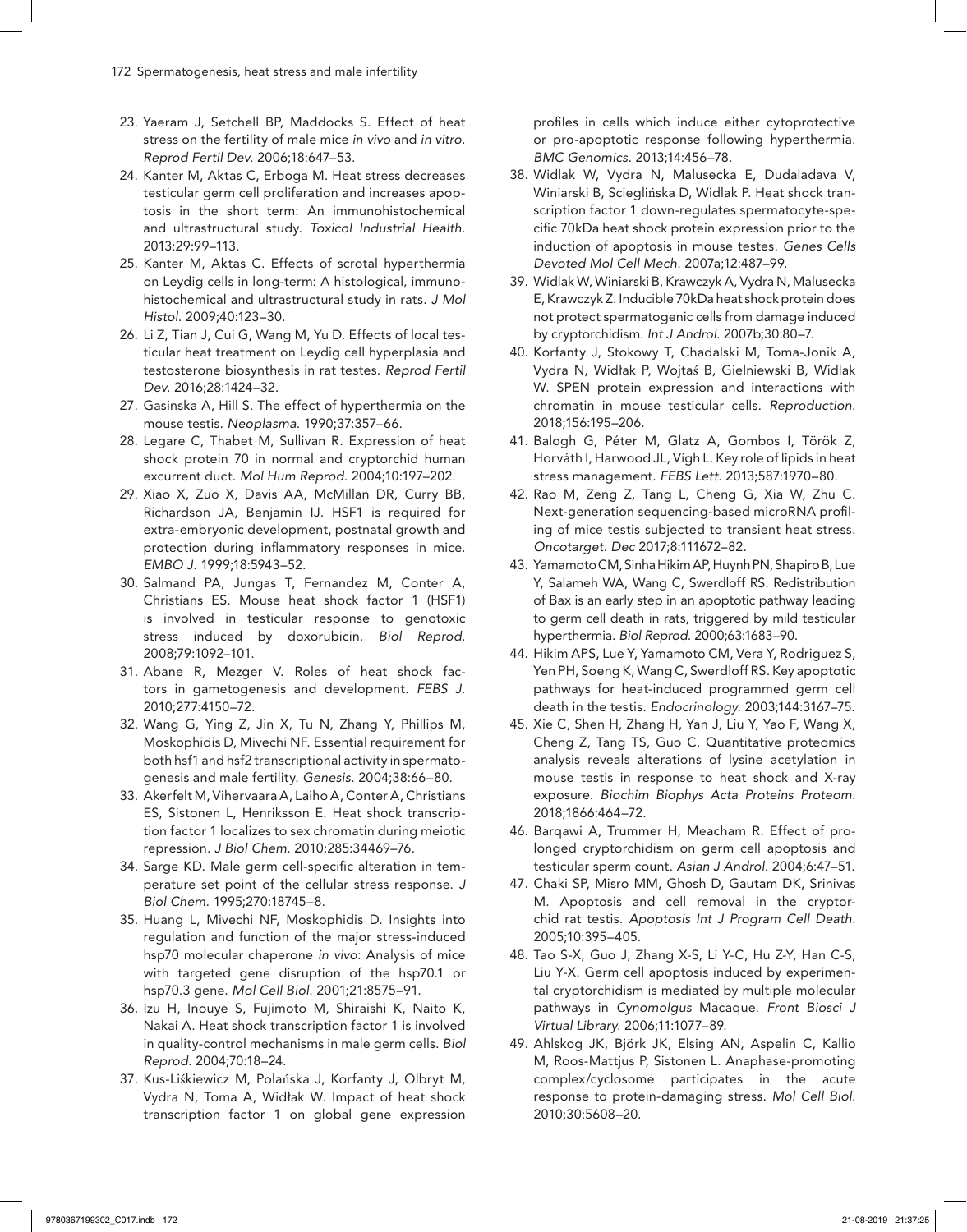- 23. Yaeram J, Setchell BP, Maddocks S. Effect of heat stress on the fertility of male mice *in vivo* and *in vitro*. *Reprod Fertil Dev*. 2006;18:647–53.
- 24. Kanter M, Aktas C, Erboga M. Heat stress decreases testicular germ cell proliferation and increases apoptosis in the short term: An immunohistochemical and ultrastructural study. *Toxicol Industrial Health*. 2013:29:99–113.
- 25. Kanter M, Aktas C. Effects of scrotal hyperthermia on Leydig cells in long-term: A histological, immunohistochemical and ultrastructural study in rats. *J Mol Histol*. 2009;40:123–30.
- 26. Li Z, Tian J, Cui G, Wang M, Yu D. Effects of local testicular heat treatment on Leydig cell hyperplasia and testosterone biosynthesis in rat testes. *Reprod Fertil Dev*. 2016;28:1424–32.
- 27. Gasinska A, Hill S. The effect of hyperthermia on the mouse testis. *Neoplasma*. 1990;37:357–66.
- 28. Legare C, Thabet M, Sullivan R. Expression of heat shock protein 70 in normal and cryptorchid human excurrent duct. *Mol Hum Reprod*. 2004;10:197–202.
- 29. Xiao X, Zuo X, Davis AA, McMillan DR, Curry BB, Richardson JA, Benjamin IJ. HSF1 is required for extra-embryonic development, postnatal growth and protection during inflammatory responses in mice. *EMBO J*. 1999;18:5943–52.
- 30. Salmand PA, Jungas T, Fernandez M, Conter A, Christians ES. Mouse heat shock factor 1 (HSF1) is involved in testicular response to genotoxic stress induced by doxorubicin. *Biol Reprod*. 2008;79:1092–101.
- 31. Abane R, Mezger V. Roles of heat shock factors in gametogenesis and development. *FEBS J*. 2010;277:4150–72.
- 32. Wang G, Ying Z, Jin X, Tu N, Zhang Y, Phillips M, Moskophidis D, Mivechi NF. Essential requirement for both hsf1 and hsf2 transcriptional activity in spermatogenesis and male fertility. *Genesis*. 2004;38:66–80.
- 33. Akerfelt M, Vihervaara A, Laiho A, Conter A, Christians ES, Sistonen L, Henriksson E. Heat shock transcription factor 1 localizes to sex chromatin during meiotic repression. *J Biol Chem*. 2010;285:34469–76.
- 34. Sarge KD. Male germ cell-specific alteration in temperature set point of the cellular stress response. *J Biol Chem*. 1995;270:18745–8.
- 35. Huang L, Mivechi NF, Moskophidis D. Insights into regulation and function of the major stress-induced hsp70 molecular chaperone *in vivo*: Analysis of mice with targeted gene disruption of the hsp70.1 or hsp70.3 gene. *Mol Cell Biol*. 2001;21:8575–91.
- 36. Izu H, Inouye S, Fujimoto M, Shiraishi K, Naito K, Nakai A. Heat shock transcription factor 1 is involved in quality-control mechanisms in male germ cells. *Biol Reprod*. 2004;70:18–24.
- 37. Kus-Liśkiewicz M, Polańska J, Korfanty J, Olbryt M, Vydra N, Toma A, Widłak W. Impact of heat shock transcription factor 1 on global gene expression

profiles in cells which induce either cytoprotective or pro-apoptotic response following hyperthermia. *BMC Genomics*. 2013;14:456–78.

- 38. Widlak W, Vydra N, Malusecka E, Dudaladava V, Winiarski B, Scieglińska D, Widlak P. Heat shock transcription factor 1 down-regulates spermatocyte-specific 70kDa heat shock protein expression prior to the induction of apoptosis in mouse testes. *Genes Cells Devoted Mol Cell Mech*. 2007a;12:487–99.
- 39. Widlak W, Winiarski B, Krawczyk A, Vydra N, Malusecka E, Krawczyk Z. Inducible 70kDa heat shock protein does not protect spermatogenic cells from damage induced by cryptorchidism. *Int J Androl*. 2007b;30:80–7.
- 40. Korfanty J, Stokowy T, Chadalski M, Toma-Jonik A, Vydra N, Widłak P, Wojtaś B, Gielniewski B, Widlak W. SPEN protein expression and interactions with chromatin in mouse testicular cells. *Reproduction*. 2018;156:195–206.
- 41. Balogh G, Péter M, Glatz A, Gombos I, Török Z, Horváth I, Harwood JL, Vígh L. Key role of lipids in heat stress management. *FEBS Lett*. 2013;587:1970–80.
- 42. Rao M, Zeng Z, Tang L, Cheng G, Xia W, Zhu C. Next-generation sequencing-based microRNA profiling of mice testis subjected to transient heat stress. *Oncotarget. Dec* 2017;8:111672–82.
- 43. Yamamoto CM, Sinha Hikim AP, Huynh PN, Shapiro B, Lue Y, Salameh WA, Wang C, Swerdloff RS. Redistribution of Bax is an early step in an apoptotic pathway leading to germ cell death in rats, triggered by mild testicular hyperthermia. *Biol Reprod*. 2000;63:1683–90.
- 44. Hikim APS, Lue Y, Yamamoto CM, Vera Y, Rodriguez S, Yen PH, Soeng K, Wang C, Swerdloff RS. Key apoptotic pathways for heat-induced programmed germ cell death in the testis. *Endocrinology*. 2003;144:3167–75.
- 45. Xie C, Shen H, Zhang H, Yan J, Liu Y, Yao F, Wang X, Cheng Z, Tang TS, Guo C. Quantitative proteomics analysis reveals alterations of lysine acetylation in mouse testis in response to heat shock and X-ray exposure. *Biochim Biophys Acta Proteins Proteom*. 2018;1866:464–72.
- 46. Barqawi A, Trummer H, Meacham R. Effect of prolonged cryptorchidism on germ cell apoptosis and testicular sperm count. *Asian J Androl*. 2004;6:47–51.
- 47. Chaki SP, Misro MM, Ghosh D, Gautam DK, Srinivas M. Apoptosis and cell removal in the cryptorchid rat testis. *Apoptosis Int J Program Cell Death*. 2005;10:395–405.
- 48. Tao S-X, Guo J, Zhang X-S, Li Y-C, Hu Z-Y, Han C-S, Liu Y-X. Germ cell apoptosis induced by experimental cryptorchidism is mediated by multiple molecular pathways in *Cynomolgus* Macaque. *Front Biosci J Virtual Library*. 2006;11:1077–89.
- 49. Ahlskog JK, Björk JK, Elsing AN, Aspelin C, Kallio M, Roos-Mattjus P, Sistonen L. Anaphase-promoting complex/cyclosome participates in the acute response to protein-damaging stress. *Mol Cell Biol*. 2010;30:5608–20.